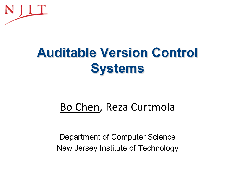

# **Auditable Version Control Systems**

# Bo Chen, Reza Curtmola

Department of Computer Science New Jersey Institute of Technology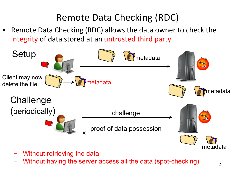# Remote Data Checking (RDC)

Remote Data Checking (RDC) allows the data owner to check the integrity of data stored at an untrusted third party



- Without retrieving the data
- Without having the server access all the data (spot-checking)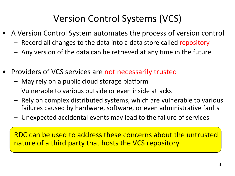# Version Control Systems (VCS)

- A Version Control System automates the process of version control
	- Record all changes to the data into a data store called repository
	- $-$  Any version of the data can be retrieved at any time in the future
- Providers of VCS services are not necessarily trusted
	- $-$  May rely on a public cloud storage platform
	- $-$  Vulnerable to various outside or even inside attacks
	- $-$  Rely on complex distributed systems, which are vulnerable to various failures caused by hardware, software, or even administrative faults
	- Unexpected accidental events may lead to the failure of services

RDC can be used to address these concerns about the untrusted nature of a third party that hosts the VCS repository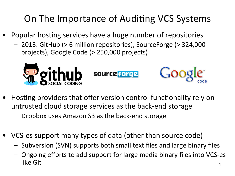# On The Importance of Auditing VCS Systems

- Popular hosting services have a huge number of repositories
	- 2013: GitHub (> 6 million repositories), SourceForge (> 324,000 projects), Google Code (> 250,000 projects)



- Hosting providers that offer version control functionality rely on untrusted cloud storage services as the back-end storage
	- Dropbox uses Amazon S3 as the back-end storage
- VCS-es support many types of data (other than source code)
	- $-$  Subversion (SVN) supports both small text files and large binary files
	- $-$  Ongoing efforts to add support for large media binary files into VCS-es  $like\text{ Git}$   $4$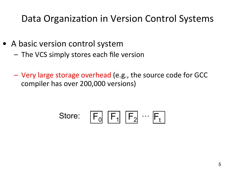#### Data Organization in Version Control Systems

- A basic version control system
	- $-$  The VCS simply stores each file version
	- Very large storage overhead (e.g., the source code for GCC compiler has over 200,000 versions)

$$
\text{Store:} \quad \boxed{\mathsf{F}_0} \quad \boxed{\mathsf{F}_1} \quad \boxed{\mathsf{F}_2} \quad \cdots \quad \boxed{\mathsf{F}_t}
$$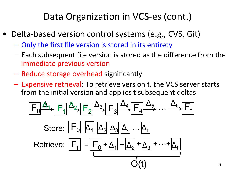#### Data Organization in VCS-es (cont.)

- Delta-based version control systems (e.g., CVS, Git)
	- Only the first file version is stored in its entirety
	- $-$  Each subsequent file version is stored as the difference from the immediate previous version
	- Reduce storage overhead significantly
	- $-$  Expensive retrieval: To retrieve version t, the VCS server starts from the initial version and applies t subsequent deltas

$$
\frac{A_1}{F_0} \xrightarrow{A_2} \frac{A_3}{F_2} \xrightarrow{A_3} \frac{A_4}{F_4} \xrightarrow{A_5} \dots \xrightarrow{A_t} \frac{A_t}{F_t}
$$
  
Store: 
$$
\frac{F_0}{F_1} = \frac{A_1}{F_0} \xrightarrow{A_3} \frac{A_3}{F_4} \dots \xrightarrow{A_t}
$$

$$
\frac{A_t}{F_1} = \frac{F_0}{F_1} \xrightarrow{A_1} \frac{A_2}{F_2} \dots \xrightarrow{A_t}
$$

$$
\frac{A_t}{F_t}
$$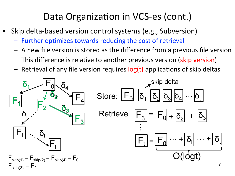#### Data Organization in VCS-es (cont.)

- Skip delta-based version control systems (e.g., Subversion)
	- Further optimizes towards reducing the cost of retrieval
	- $-$  A new file version is stored as the difference from a previous file version
	- This difference is relative to another previous version (skip version)
	- Retrieval of any file version requires  $log(t)$  applications of skip deltas



O(logt)

+

+  $|\delta_3|$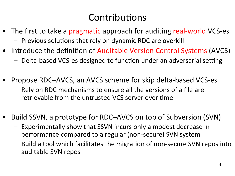#### Contributions

- The first to take a pragmatic approach for auditing real-world VCS-es  $-$  Previous solutions that rely on dynamic RDC are overkill
- Introduce the definition of Auditable Version Control Systems (AVCS)
	- Delta-based VCS-es designed to function under an adversarial setting
- Propose RDC–AVCS, an AVCS scheme for skip delta-based VCS-es
	- $-$  Rely on RDC mechanisms to ensure all the versions of a file are retrievable from the untrusted VCS server over time
- Build SSVN, a prototype for RDC–AVCS on top of Subversion (SVN)
	- $-$  Experimentally show that SSVN incurs only a modest decrease in performance compared to a regular (non-secure) SVN system
	- $-$  Build a tool which facilitates the migration of non-secure SVN repos into auditable SVN repos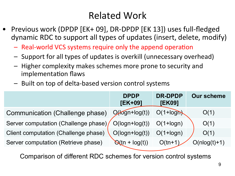# **Related Work**

- Previous work (DPDP [EK+ 09], DR-DPDP [EK 13]) uses full-fledged dynamic RDC to support all types of updates (insert, delete, modify)
	- Real-world VCS systems require only the append operation
	- Support for all types of updates is overkill (unnecessary overhead)
	- $-$  Higher complexity makes schemes more prone to security and implementation flaws
	- Built on top of delta-based version control systems

|                                        | <b>DPDP</b><br>$[EK+09]$  | <b>DR-DPDP</b><br>[EK09] | <b>Our scheme</b> |
|----------------------------------------|---------------------------|--------------------------|-------------------|
| <b>Communication (Challenge phase)</b> | $Q$ ( $log$ n+ $log(t)$ ) | $O(1 + log n)$           | O(1)              |
| Server computation (Challenge phase)   | $O(logn+log(t))$          | $O(1 + log n)$           | O(1)              |
| Client computation (Challenge phase)   | $O(logn+log(t))$          | $O(1 + log n)$           | O(1)              |
| Server computation (Retrieve phase)    | $Q(tn + log(t))$          | $O$ (tn+1                | $O(nlog(t)+1)$    |

Comparison of different RDC schemes for version control systems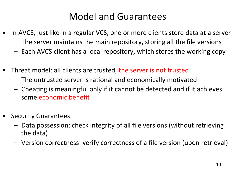#### Model and Guarantees

- In AVCS, just like in a regular VCS, one or more clients store data at a server
	- $-$  The server maintains the main repository, storing all the file versions
	- $-$  Each AVCS client has a local repository, which stores the working copy
- Threat model: all clients are trusted, the server is not trusted
	- $-$  The untrusted server is rational and economically motivated
	- $-$  Cheating is meaningful only if it cannot be detected and if it achieves some economic benefit
- Security Guarantees
	- $-$  Data possession: check integrity of all file versions (without retrieving the data)
	- Version correctness: verify correctness of a file version (upon retrieval)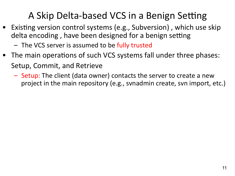# A Skip Delta-based VCS in a Benign Setting

- Existing version control systems (e.g., Subversion), which use skip delta encoding, have been designed for a benign setting
	- The VCS server is assumed to be fully trusted
- The main operations of such VCS systems fall under three phases: Setup, Commit, and Retrieve
	- $-$  Setup: The client (data owner) contacts the server to create a new project in the main repository (e.g., svnadmin create, svn import, etc.)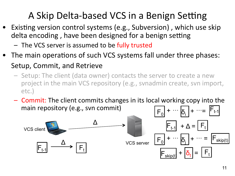# A Skip Delta-based VCS in a Benign Setting

- Existing version control systems (e.g., Subversion), which use skip delta encoding, have been designed for a benign setting
	- The VCS server is assumed to be fully trusted
- The main operations of such VCS systems fall under three phases: Setup, Commit, and Retrieve
	- $-$  Setup: The client (data owner) contacts the server to create a new project in the main VCS repository (e.g., svnadmin create, svn import, etc.)
	- Commit: The client commits changes in its local working copy into the main repository (e.g., svn commit)  $\boxed{F_0}$  +  $\cdots$   $\boxed{\delta_i}$  +  $\cdots$  =  $F_{t-1}$

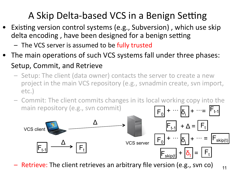# A Skip Delta-based VCS in a Benign Setting

- Existing version control systems (e.g., Subversion), which use skip delta encoding, have been designed for a benign setting
	- The VCS server is assumed to be fully trusted
- The main operations of such VCS systems fall under three phases: Setup, Commit, and Retrieve
	- $-$  Setup: The client (data owner) contacts the server to create a new project in the main VCS repository (e.g., svnadmin create, svn import, etc.)
	- $-$  Commit: The client commits changes in its local working copy into the main repository (e.g., svn commit)  $\boxed{F_0}$  +  $\cdots$   $\boxed{\delta_i}$  +  $\cdots$  =  $F_{t-1}$



 $-$  Retrieve: The client retrieves an arbitrary file version (e.g., svn co)  $11$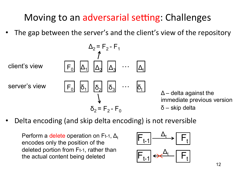# Moving to an adversarial setting: Challenges

The gap between the server's and the client's view of the repository

$$
\Delta_2 = F_2 - F_1
$$
  
client's view  $F_0$   $\Delta_1$   $\Delta_2$   $\Delta_3$   $\cdots$   $\Delta_t$   
server's view  $F_0$   $\overline{\delta_1}$   $\overline{\delta_2}$   $\overline{\delta_3}$   $\cdots$   $\overline{\delta_t}$   

$$
\Delta
$$
 - delta against the  
immediate previous version  

$$
\overline{\delta_2} = F_2 - F_0
$$
 
$$
\Delta
$$
 - skip delta

Delta encoding (and skip delta encoding) is not reversible

Perform a delete operation on Ft-1,  $\Delta_t$ encodes only the position of the deleted portion from Ft-1, rather than the actual content being deleted

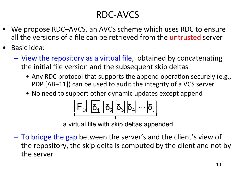# RDC-AVCS

- We propose RDC–AVCS, an AVCS scheme which uses RDC to ensure all the versions of a file can be retrieved from the untrusted server
- Basic idea:
	- $-$  View the repository as a virtual file, obtained by concatenating the initial file version and the subsequent skip deltas
		- Any RDC protocol that supports the append operation securely (e.g., PDP [AB+11]) can be used to audit the integrity of a VCS server
		- No need to support other dynamic updates except append



a virtual file with skip deltas appended

 $-$  To bridge the gap between the server's and the client's view of the repository, the skip delta is computed by the client and not by the server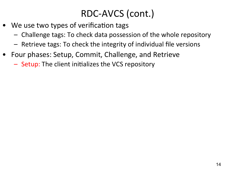- We use two types of verification tags
	- Challenge tags: To check data possession of the whole repository
	- $-$  Retrieve tags: To check the integrity of individual file versions
- Four phases: Setup, Commit, Challenge, and Retrieve
	- Setup: The client initializes the VCS repository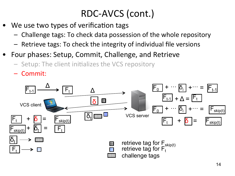- We use two types of verification tags
	- $-$  Challenge tags: To check data possession of the whole repository
	- $-$  Retrieve tags: To check the integrity of individual file versions
- Four phases: Setup, Commit, Challenge, and Retrieve
	- Setup: The client initializes the VCS repository
	- Commit:

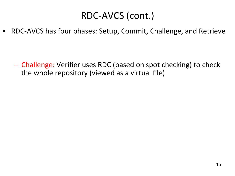• RDC-AVCS has four phases: Setup, Commit, Challenge, and Retrieve

– Challenge: Verifier uses RDC (based on spot checking) to check the whole repository (viewed as a virtual file)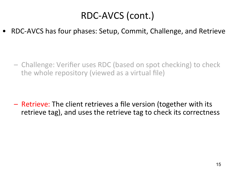RDC-AVCS has four phases: Setup, Commit, Challenge, and Retrieve

– Challenge: Verifier uses RDC (based on spot checking) to check the whole repository (viewed as a virtual file)

 $-$  Retrieve: The client retrieves a file version (together with its retrieve tag), and uses the retrieve tag to check its correctness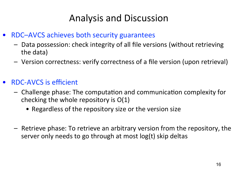### Analysis and Discussion

- RDC–AVCS achieves both security guarantees
	- $-$  Data possession: check integrity of all file versions (without retrieving the data)
	- Version correctness: verify correctness of a file version (upon retrieval)
- RDC-AVCS is efficient
	- $-$  Challenge phase: The computation and communication complexity for checking the whole repository is  $O(1)$ 
		- Regardless of the repository size or the version size
	- $-$  Retrieve phase: To retrieve an arbitrary version from the repository, the server only needs to go through at most log(t) skip deltas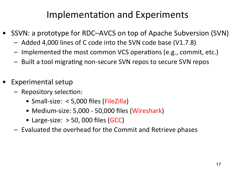#### Implementation and Experiments

- SSVN: a prototype for RDC–AVCS on top of Apache Subversion (SVN)
	- Added 4,000 lines of C code into the SVN code base (V1.7.8)
	- Implemented the most common VCS operations (e.g., commit, etc.)
	- $-$  Built a tool migrating non-secure SVN repos to secure SVN repos
- Experimental setup
	- Repository selection:
		- Small-size: < 5,000 files (FileZilla)
		- Medium-size: 5,000 50,000 files (Wireshark)
		- Large-size:  $>$  50, 000 files (GCC)
	- $-$  Evaluated the overhead for the Commit and Retrieve phases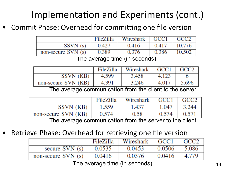# Implementation and Experiments (cont.)

Commit Phase: Overhead for committing one file version

|                     | FileZilla | Wireshark | $\mid$ GCC1 | GCC2   |
|---------------------|-----------|-----------|-------------|--------|
| SSVN(s)             | 0.427     | 0.416     | 0.417       | 10.776 |
| non-secure $SVN(s)$ | 0.389     | 0.376     | 0.386       | 10.502 |

The average time (in seconds)

|                     | FileZilla | Wireshark   GCC1 |       | GCC <sub>2</sub> |
|---------------------|-----------|------------------|-------|------------------|
| SSVN (KB)           | 4.599     | 3.458            | 4.123 |                  |
| non-secure SVN (KB) | 4.391     | 3.246            | 4.017 | 5.696            |

The average communication from the client to the server

|                                                         | FileZilla | Wireshark $\mid$ GCC1 $\mid$ GCC2 |       |       |
|---------------------------------------------------------|-----------|-----------------------------------|-------|-------|
| SSVN (KB)                                               | 1.559     | 1.437                             | 1.047 | 3.244 |
| non-secure SVN (KB)                                     | 0.574     | 0.58                              | 0.574 | 0.571 |
| The average communication from the server to the client |           |                                   |       |       |

The average communication from the server to the client

Retrieve Phase: Overhead for retrieving one file version

|                     | FileZilla | Wireshark | GCC1   | $\overline{GCC2}$ |
|---------------------|-----------|-----------|--------|-------------------|
| secure $SVN(s)$     | 0.0535    | 0.0453    | 0.0506 | 5.086             |
| non-secure $SVN(s)$ | 0.0416    | 0.0376    | 0.0416 | 4.779             |

The average time (in seconds)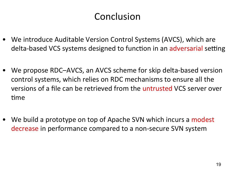#### Conclusion

- We introduce Auditable Version Control Systems (AVCS), which are delta-based VCS systems designed to function in an adversarial setting
- We propose RDC–AVCS, an AVCS scheme for skip delta-based version control systems, which relies on RDC mechanisms to ensure all the versions of a file can be retrieved from the untrusted VCS server over time
- We build a prototype on top of Apache SVN which incurs a modest decrease in performance compared to a non-secure SVN system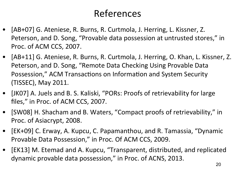#### References

- [AB+07] G. Ateniese, R. Burns, R. Curtmola, J. Herring, L. Kissner, Z. Peterson, and D. Song, "Provable data possession at untrusted stores," in Proc. of ACM CCS, 2007.
- [AB+11] G. Ateniese, R. Burns, R. Curtmola, J. Herring, O. Khan, L. Kissner, Z. Peterson, and D. Song, "Remote Data Checking Using Provable Data Possession," ACM Transactions on Information and System Security (TISSEC), May 2011.
- [JKO7] A. Juels and B. S. Kaliski, "PORs: Proofs of retrievability for large files," in Proc. of ACM CCS, 2007.
- [SW08] H. Shacham and B. Waters, "Compact proofs of retrievability," in Proc. of Asiacrypt, 2008.
- [EK+09] C. Erway, A. Kupcu, C. Papamanthou, and R. Tamassia, "Dynamic Provable Data Possession," in Proc. Of ACM CCS, 2009.
- [EK13] M. Etemad and A. Kupcu, "Transparent, distributed, and replicated dynamic provable data possession," in Proc. of ACNS, 2013.